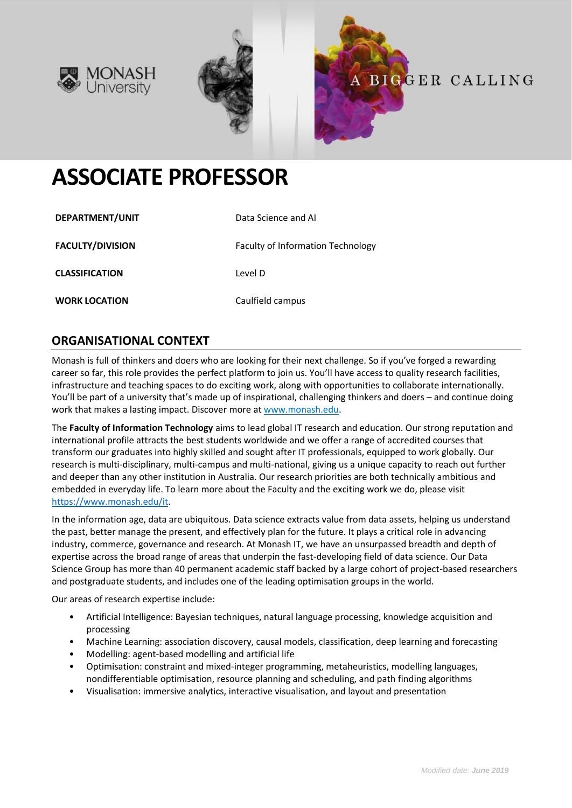



# **ASSOCIATE PROFESSOR**

| DEPARTMENT/UNIT         | Data Science and AI                      |
|-------------------------|------------------------------------------|
| <b>FACULTY/DIVISION</b> | <b>Faculty of Information Technology</b> |
| <b>CLASSIFICATION</b>   | Level D                                  |
| <b>WORK LOCATION</b>    | Caulfield campus                         |

## **ORGANISATIONAL CONTEXT**

Monash is full of thinkers and doers who are looking for their next challenge. So if you've forged a rewarding career so far, this role provides the perfect platform to join us. You'll have access to quality research facilities, infrastructure and teaching spaces to do exciting work, along with opportunities to collaborate internationally. You'll be part of a university that's made up of inspirational, challenging thinkers and doers – and continue doing work that makes a lasting impact. Discover more at [www.monash.edu.](http://www.monash.edu/)

The **Faculty of Information Technology** aims to lead global IT research and education. Our strong reputation and international profile attracts the best students worldwide and we offer a range of accredited courses that transform our graduates into highly skilled and sought after IT professionals, equipped to work globally. Our research is multi-disciplinary, multi-campus and multi-national, giving us a unique capacity to reach out further and deeper than any other institution in Australia. Our research priorities are both technically ambitious and embedded in everyday life. To learn more about the Faculty and the exciting work we do, please visit [https://www.monash.edu/it.](https://www.monash.edu/it)

In the information age, data are ubiquitous. Data science extracts value from data assets, helping us understand the past, better manage the present, and effectively plan for the future. It plays a critical role in advancing industry, commerce, governance and research. At Monash IT, we have an unsurpassed breadth and depth of expertise across the broad range of areas that underpin the fast-developing field of data science. Our Data Science Group has more than 40 permanent academic staff backed by a large cohort of project-based researchers and postgraduate students, and includes one of the leading optimisation groups in the world.

Our areas of research expertise include:

- Artificial Intelligence: Bayesian techniques, natural language processing, knowledge acquisition and processing
- Machine Learning: association discovery, causal models, classification, deep learning and forecasting
- Modelling: agent-based modelling and artificial life
- Optimisation: constraint and mixed-integer programming, metaheuristics, modelling languages, nondifferentiable optimisation, resource planning and scheduling, and path finding algorithms
- Visualisation: immersive analytics, interactive visualisation, and layout and presentation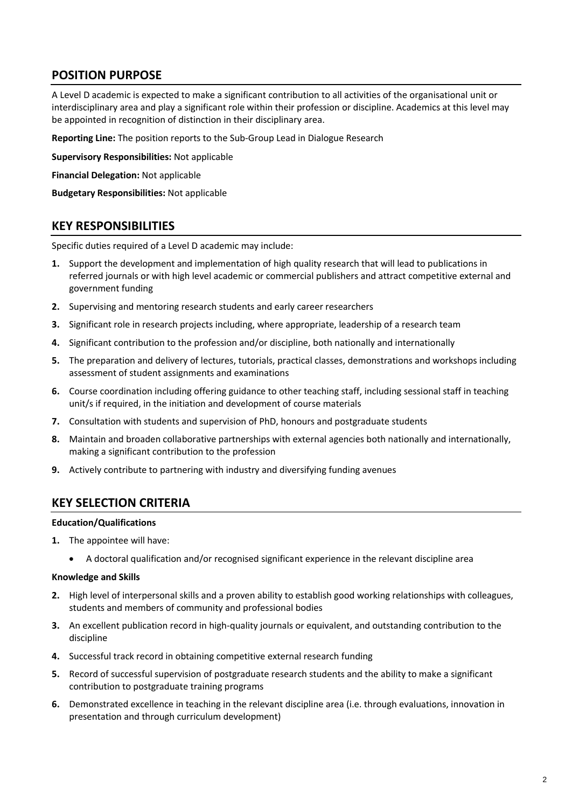# **POSITION PURPOSE**

A Level D academic is expected to make a significant contribution to all activities of the organisational unit or interdisciplinary area and play a significant role within their profession or discipline. Academics at this level may be appointed in recognition of distinction in their disciplinary area.

**Reporting Line:** The position reports to the Sub-Group Lead in Dialogue Research

**Supervisory Responsibilities:** Not applicable

**Financial Delegation:** Not applicable

**Budgetary Responsibilities:** Not applicable

## **KEY RESPONSIBILITIES**

Specific duties required of a Level D academic may include:

- **1.** Support the development and implementation of high quality research that will lead to publications in referred journals or with high level academic or commercial publishers and attract competitive external and government funding
- **2.** Supervising and mentoring research students and early career researchers
- **3.** Significant role in research projects including, where appropriate, leadership of a research team
- **4.** Significant contribution to the profession and/or discipline, both nationally and internationally
- **5.** The preparation and delivery of lectures, tutorials, practical classes, demonstrations and workshops including assessment of student assignments and examinations
- **6.** Course coordination including offering guidance to other teaching staff, including sessional staff in teaching unit/s if required, in the initiation and development of course materials
- **7.** Consultation with students and supervision of PhD, honours and postgraduate students
- **8.** Maintain and broaden collaborative partnerships with external agencies both nationally and internationally, making a significant contribution to the profession
- **9.** Actively contribute to partnering with industry and diversifying funding avenues

### **KEY SELECTION CRITERIA**

#### **Education/Qualifications**

- **1.** The appointee will have:
	- A doctoral qualification and/or recognised significant experience in the relevant discipline area

#### **Knowledge and Skills**

- **2.** High level of interpersonal skills and a proven ability to establish good working relationships with colleagues, students and members of community and professional bodies
- **3.** An excellent publication record in high-quality journals or equivalent, and outstanding contribution to the discipline
- **4.** Successful track record in obtaining competitive external research funding
- **5.** Record of successful supervision of postgraduate research students and the ability to make a significant contribution to postgraduate training programs
- **6.** Demonstrated excellence in teaching in the relevant discipline area (i.e. through evaluations, innovation in presentation and through curriculum development)